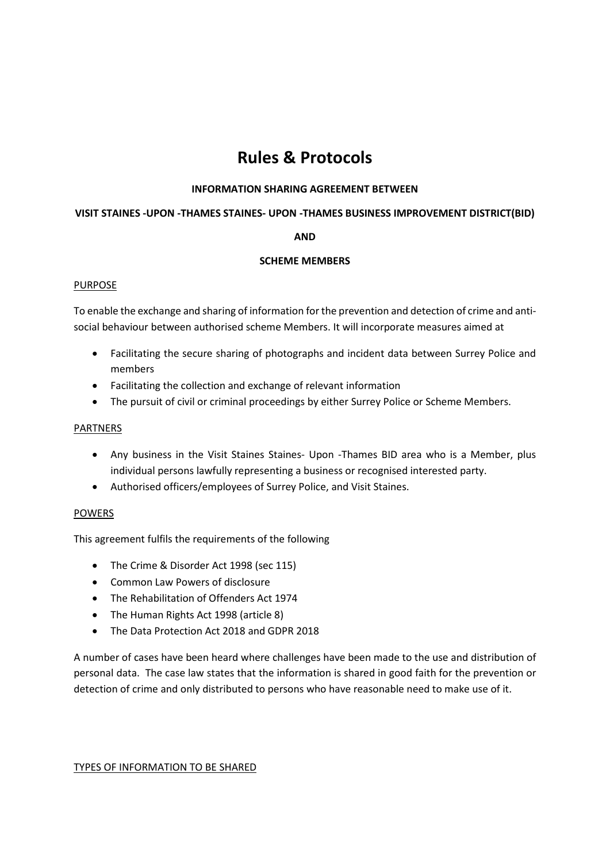# **Rules & Protocols**

## **INFORMATION SHARING AGREEMENT BETWEEN**

#### **VISIT STAINES -UPON -THAMES STAINES- UPON -THAMES BUSINESS IMPROVEMENT DISTRICT(BID)**

## **AND**

### **SCHEME MEMBERS**

#### **PURPOSE**

To enable the exchange and sharing of information for the prevention and detection of crime and antisocial behaviour between authorised scheme Members. It will incorporate measures aimed at

- Facilitating the secure sharing of photographs and incident data between Surrey Police and members
- Facilitating the collection and exchange of relevant information
- The pursuit of civil or criminal proceedings by either Surrey Police or Scheme Members.

#### PARTNERS

- Any business in the Visit Staines Staines- Upon -Thames BID area who is a Member, plus individual persons lawfully representing a business or recognised interested party.
- Authorised officers/employees of Surrey Police, and Visit Staines.

### POWERS

This agreement fulfils the requirements of the following

- The Crime & Disorder Act 1998 (sec 115)
- Common Law Powers of disclosure
- The Rehabilitation of Offenders Act 1974
- The Human Rights Act 1998 (article 8)
- The Data Protection Act 2018 and GDPR 2018

A number of cases have been heard where challenges have been made to the use and distribution of personal data. The case law states that the information is shared in good faith for the prevention or detection of crime and only distributed to persons who have reasonable need to make use of it.

#### TYPES OF INFORMATION TO BE SHARED